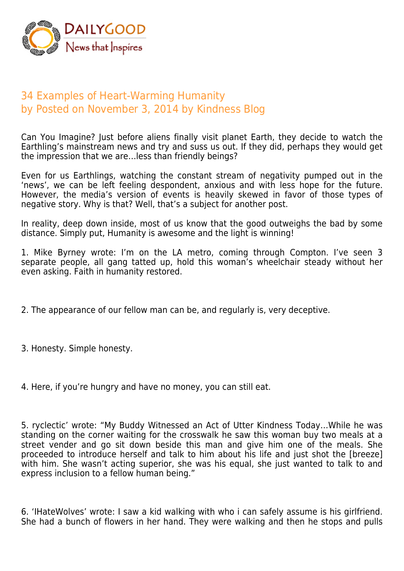

## 34 Examples of Heart-Warming Humanity by Posted on November 3, 2014 by Kindness Blog

Can You Imagine? Just before aliens finally visit planet Earth, they decide to watch the Earthling's mainstream news and try and suss us out. If they did, perhaps they would get the impression that we are…less than friendly beings?

Even for us Earthlings, watching the constant stream of negativity pumped out in the 'news', we can be left feeling despondent, anxious and with less hope for the future. However, the media's version of events is heavily skewed in favor of those types of negative story. Why is that? Well, that's a subject for another post.

In reality, deep down inside, most of us know that the good outweighs the bad by some distance. Simply put, Humanity is awesome and the light is winning!

1. Mike Byrney wrote: I'm on the LA metro, coming through Compton. I've seen 3 separate people, all gang tatted up, hold this woman's wheelchair steady without her even asking. Faith in humanity restored.

2. The appearance of our fellow man can be, and regularly is, very deceptive.

3. Honesty. Simple honesty.

4. Here, if you're hungry and have no money, you can still eat.

5. ryclectic' wrote: "My Buddy Witnessed an Act of Utter Kindness Today…While he was standing on the corner waiting for the crosswalk he saw this woman buy two meals at a street vender and go sit down beside this man and give him one of the meals. She proceeded to introduce herself and talk to him about his life and just shot the [breeze] with him. She wasn't acting superior, she was his equal, she just wanted to talk to and express inclusion to a fellow human being."

6. 'IHateWolves' wrote: I saw a kid walking with who i can safely assume is his girlfriend. She had a bunch of flowers in her hand. They were walking and then he stops and pulls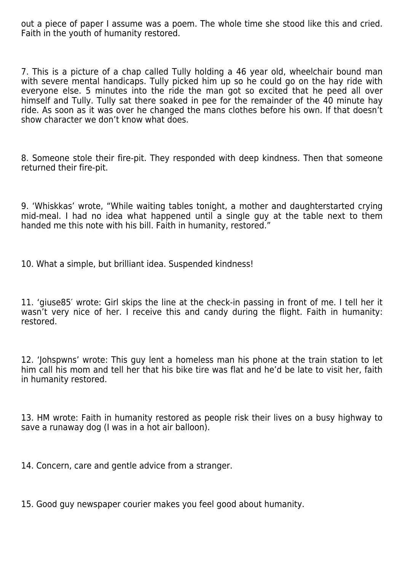out a piece of paper I assume was a poem. The whole time she stood like this and cried. Faith in the youth of humanity restored.

7. This is a picture of a chap called Tully holding a 46 year old, wheelchair bound man with severe mental handicaps. Tully picked him up so he could go on the hay ride with everyone else. 5 minutes into the ride the man got so excited that he peed all over himself and Tully. Tully sat there soaked in pee for the remainder of the 40 minute hay ride. As soon as it was over he changed the mans clothes before his own. If that doesn't show character we don't know what does.

8. Someone stole their fire-pit. They responded with deep kindness. Then that someone returned their fire-pit.

9. 'Whiskkas' wrote, "While waiting tables tonight, a mother and daughterstarted crying mid-meal. I had no idea what happened until a single guy at the table next to them handed me this note with his bill. Faith in humanity, restored."

10. What a simple, but brilliant idea. Suspended kindness!

11. 'giuse85′ wrote: Girl skips the line at the check-in passing in front of me. I tell her it wasn't very nice of her. I receive this and candy during the flight. Faith in humanity: restored.

12. 'Johspwns' wrote: This guy lent a homeless man his phone at the train station to let him call his mom and tell her that his bike tire was flat and he'd be late to visit her, faith in humanity restored.

13. HM wrote: Faith in humanity restored as people risk their lives on a busy highway to save a runaway dog (I was in a hot air balloon).

14. Concern, care and gentle advice from a stranger.

15. Good guy newspaper courier makes you feel good about humanity.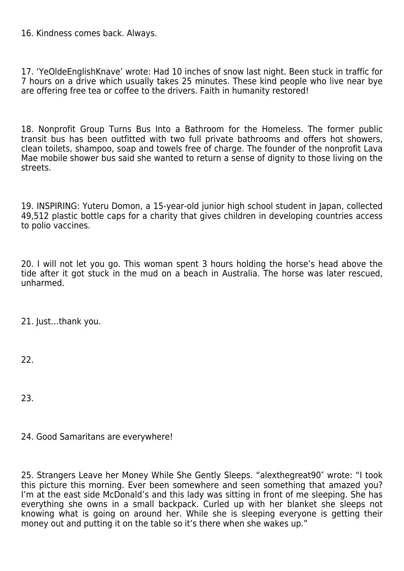16. Kindness comes back. Always.

17. 'YeOldeEnglishKnave' wrote: Had 10 inches of snow last night. Been stuck in traffic for 7 hours on a drive which usually takes 25 minutes. These kind people who live near bye are offering free tea or coffee to the drivers. Faith in humanity restored!

18. Nonprofit Group Turns Bus Into a Bathroom for the Homeless. The former public transit bus has been outfitted with two full private bathrooms and offers hot showers, clean toilets, shampoo, soap and towels free of charge. The founder of the nonprofit Lava Mae mobile shower bus said she wanted to return a sense of dignity to those living on the streets.

19. INSPIRING: Yuteru Domon, a 15-year-old junior high school student in Japan, collected 49,512 plastic bottle caps for a charity that gives children in developing countries access to polio vaccines.

20. I will not let you go. This woman spent 3 hours holding the horse's head above the tide after it got stuck in the mud on a beach in Australia. The horse was later rescued, unharmed.

21. Just…thank you.

22.

23.

24. Good Samaritans are everywhere!

25. Strangers Leave her Money While She Gently Sleeps. "alexthegreat90″ wrote: "I took this picture this morning. Ever been somewhere and seen something that amazed you? I'm at the east side McDonald's and this lady was sitting in front of me sleeping. She has everything she owns in a small backpack. Curled up with her blanket she sleeps not knowing what is going on around her. While she is sleeping everyone is getting their money out and putting it on the table so it's there when she wakes up."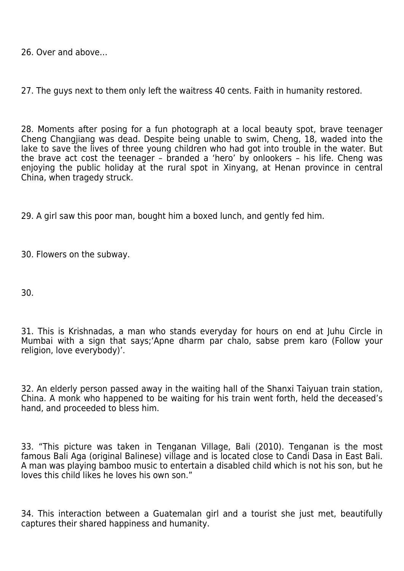26. Over and above…

27. The guys next to them only left the waitress 40 cents. Faith in humanity restored.

28. Moments after posing for a fun photograph at a local beauty spot, brave teenager Cheng Changjiang was dead. Despite being unable to swim, Cheng, 18, waded into the lake to save the lives of three young children who had got into trouble in the water. But the brave act cost the teenager - branded a 'hero' by onlookers - his life. Cheng was enjoying the public holiday at the rural spot in Xinyang, at Henan province in central China, when tragedy struck.

29. A girl saw this poor man, bought him a boxed lunch, and gently fed him.

30. Flowers on the subway.

30.

31. This is Krishnadas, a man who stands everyday for hours on end at Juhu Circle in Mumbai with a sign that says;'Apne dharm par chalo, sabse prem karo (Follow your religion, love everybody)'.

32. An elderly person passed away in the waiting hall of the Shanxi Taiyuan train station, China. A monk who happened to be waiting for his train went forth, held the deceased's hand, and proceeded to bless him.

33. "This picture was taken in Tenganan Village, Bali (2010). Tenganan is the most famous Bali Aga (original Balinese) village and is located close to Candi Dasa in East Bali. A man was playing bamboo music to entertain a disabled child which is not his son, but he loves this child likes he loves his own son."

34. This interaction between a Guatemalan girl and a tourist she just met, beautifully captures their shared happiness and humanity.